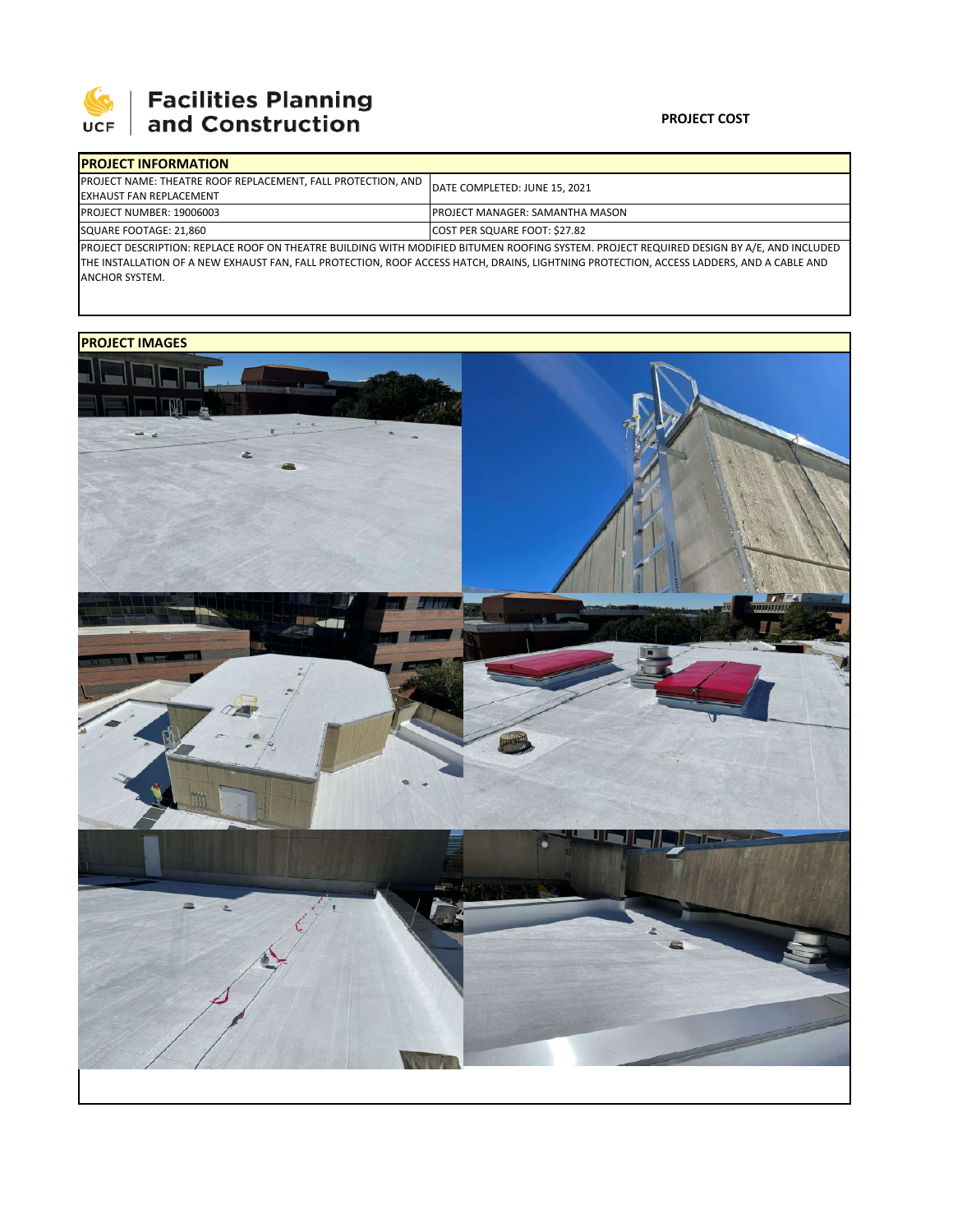

| <b>IPROJECT INFORMATION</b>                                                                                                               |                                        |  |  |  |  |
|-------------------------------------------------------------------------------------------------------------------------------------------|----------------------------------------|--|--|--|--|
| <b>PROJECT NAME: THEATRE ROOF REPLACEMENT, FALL PROTECTION, AND</b>                                                                       | DATE COMPLETED: JUNE 15, 2021          |  |  |  |  |
| <b>EXHAUST FAN REPLACEMENT</b>                                                                                                            |                                        |  |  |  |  |
| <b>PROJECT NUMBER: 19006003</b>                                                                                                           | <b>PROJECT MANAGER: SAMANTHA MASON</b> |  |  |  |  |
| SQUARE FOOTAGE: 21,860                                                                                                                    | COST PER SQUARE FOOT: \$27.82          |  |  |  |  |
| DROJECT DECCRIPTION: REBLACE ROOF ON THEATRE RUILDING WITH MODIFIED RITUMEN ROOFING CVCTEM. RROLECT REQUIRED DECICN BY A /E. AND INCLUDED |                                        |  |  |  |  |

PROJECT DESCRIPTION: REPLACE ROOF ON THEATRE BUILDING WITH MODIFIED BITUMEN ROOFING SYSTEM. PROJECT REQUIRED DESIGN BY A/E, AND INCLUDED THE INSTALLATION OF A NEW EXHAUST FAN, FALL PROTECTION, ROOF ACCESS HATCH, DRAINS, LIGHTNING PROTECTION, ACCESS LADDERS, AND A CABLE AND ANCHOR SYSTEM.

## **PROJECT IMAGES**